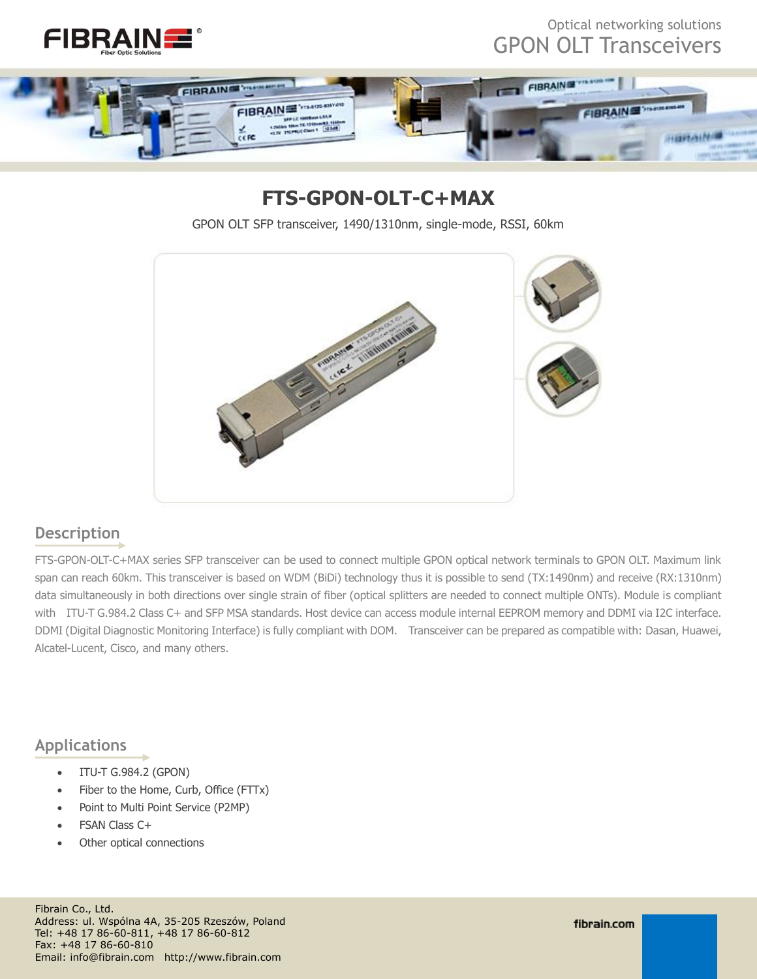



## **FTS-GPON-OLT-C+MAX**

GPON OLT SFP transceiver, 1490/1310nm, single-mode, RSSI, 60km



#### **Description**

FTS-GPON-OLT-C+MAX series SFP transceiver can be used to connect multiple GPON optical network terminals to GPON OLT. Maximum link span can reach 60km. This transceiver is based on WDM (BiDi) technology thus it is possible to send (TX:1490nm) and receive (RX:1310nm) data simultaneously in both directions over single strain of fiber (optical splitters are needed to connect multiple ONTs). Module is compliant with ITU-T G.984.2 Class C+ and SFP MSA standards. Host device can access module internal EEPROM memory and DDMI via I2C interface. DDMI (Digital Diagnostic Monitoring Interface) is fully compliant with DOM. Transceiver can be prepared as compatible with: Dasan, Huawei, Alcatel-Lucent, Cisco, and many others.

#### **Applications**

- ITU-T G.984.2 (GPON)
- Fiber to the Home, Curb, Office (FTTx)
- Point to Multi Point Service (P2MP)
- FSAN Class C+
- Other optical connections

Fibrain Co., Ltd. Address: ul. Wspólna 4A, 35-205 Rzeszów, Poland Tel: +48 17 86-60-811, +48 17 86-60-812 Fax: +48 17 86-60-810 Email: info@fibrain.com http://www.fibrain.com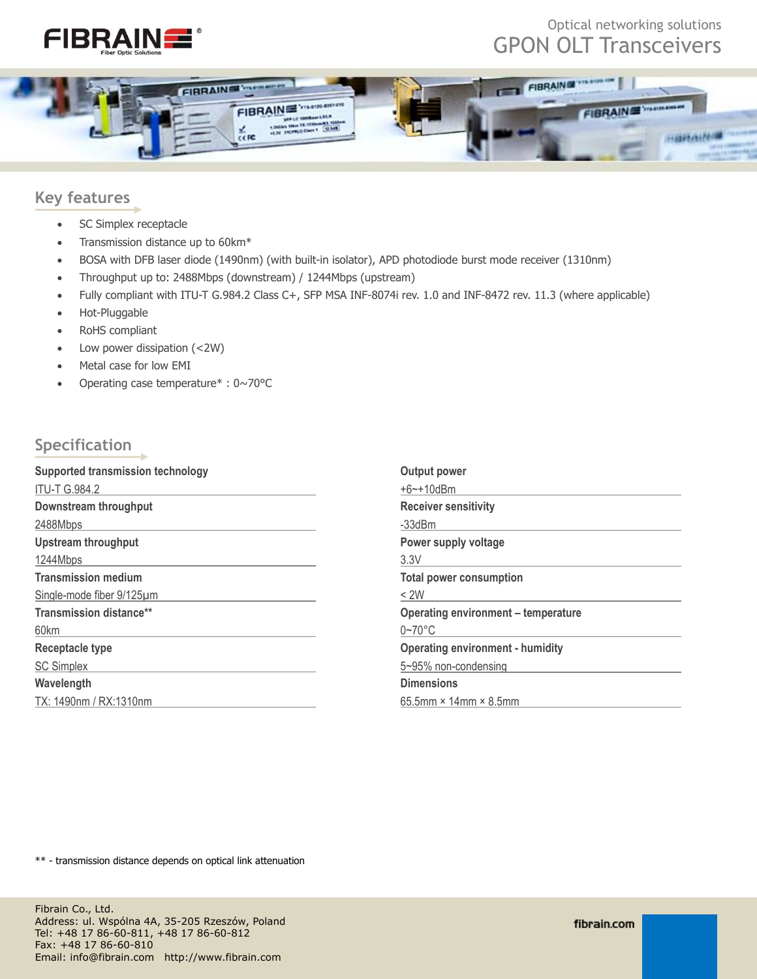



#### **Key features**

- SC Simplex receptacle
- Transmission distance up to 60km\*
- BOSA with DFB laser diode (1490nm) (with built-in isolator), APD photodiode burst mode receiver (1310nm)
- Throughput up to: 2488Mbps (downstream) / 1244Mbps (upstream)
- Fully compliant with ITU-T G.984.2 Class C+, SFP MSA INF-8074i rev. 1.0 and INF-8472 rev. 11.3 (where applicable)
- Hot-Pluggable
- RoHS compliant
- Low power dissipation (<2W)
- Metal case for low EMI
- Operating case temperature $* : 0 \sim 70$  °C

#### **Specification**

| Supported transmission technology | <b>Output power</b>                        |
|-----------------------------------|--------------------------------------------|
| <b>ITU-T G.984.2</b>              | $+6$ $-$ + 10dBm                           |
| Downstream throughput             | <b>Receiver sensitivity</b>                |
| 2488Mbps                          | -33dBm                                     |
| <b>Upstream throughput</b>        | Power supply voltage                       |
| 1244Mbps                          | 3.3V                                       |
| <b>Transmission medium</b>        | <b>Total power consumption</b>             |
| Single-mode fiber 9/125um         | $<$ 2W                                     |
| <b>Transmission distance**</b>    | <b>Operating environment - temperature</b> |
| 60km                              | $0 - 70$ °C                                |
| <b>Receptacle type</b>            | <b>Operating environment - humidity</b>    |
| <b>SC Simplex</b>                 | 5~95% non-condensing                       |
| Wavelength                        | <b>Dimensions</b>                          |
| TX: 1490nm / RX:1310nm            | $65.5$ mm × 14mm × 8.5mm                   |

\*\* - transmission distance depends on optical link attenuation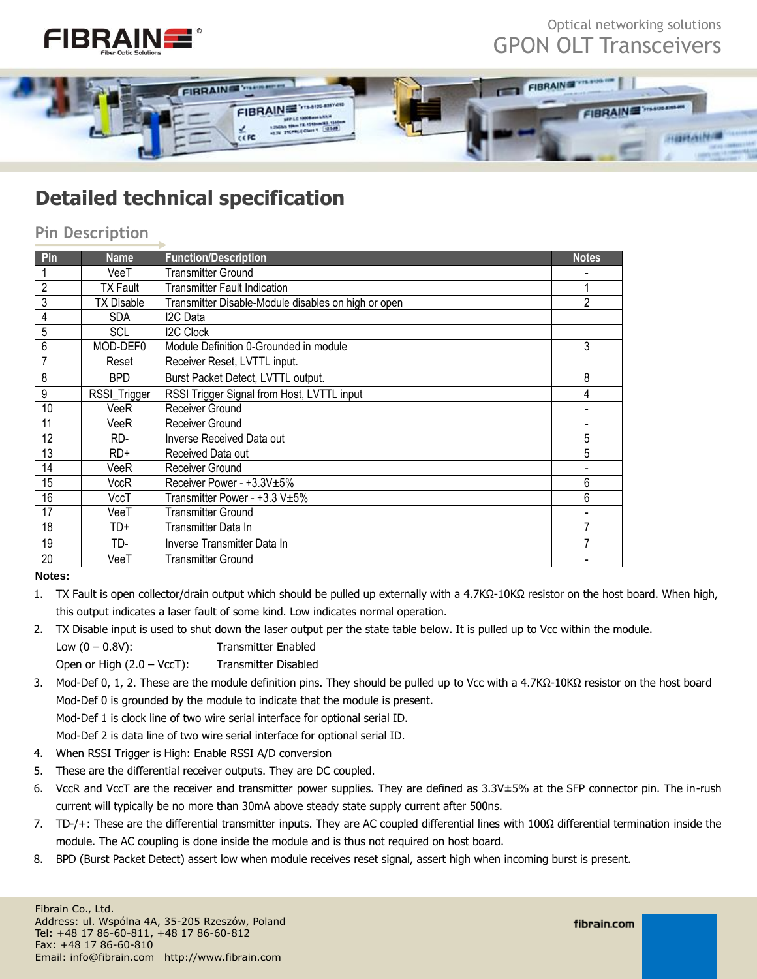



# **Detailed technical specification**

#### **Pin Description**

| Pin            | <b>Name</b>       | <b>Function/Description</b>                         | <b>Notes</b>   |
|----------------|-------------------|-----------------------------------------------------|----------------|
|                | VeeT              | <b>Transmitter Ground</b>                           |                |
| $\overline{2}$ | <b>TX Fault</b>   | <b>Transmitter Fault Indication</b>                 |                |
| $\overline{3}$ | <b>TX Disable</b> | Transmitter Disable-Module disables on high or open | $\overline{2}$ |
| $\overline{4}$ | <b>SDA</b>        | I <sub>2</sub> C Data                               |                |
| $\overline{5}$ | SCL               | <b>I2C Clock</b>                                    |                |
| $\overline{6}$ | MOD-DEF0          | Module Definition 0-Grounded in module              | 3              |
| $\overline{7}$ | Reset             | Receiver Reset, LVTTL input.                        |                |
| 8              | <b>BPD</b>        | Burst Packet Detect, LVTTL output.                  | 8              |
| $9\,$          | RSSI_Trigger      | RSSI Trigger Signal from Host, LVTTL input          | 4              |
| 10             | VeeR              | Receiver Ground                                     |                |
| 11             | VeeR              | Receiver Ground                                     |                |
| 12             | RD-               | Inverse Received Data out                           | 5              |
| 13             | $RD+$             | Received Data out                                   | 5              |
| 14             | VeeR              | Receiver Ground                                     |                |
| 15             | VccR              | Receiver Power - +3.3V±5%                           | 6              |
| 16             | VccT              | Transmitter Power - +3.3 V±5%                       | 6              |
| 17             | VeeT              | <b>Transmitter Ground</b>                           |                |
| 18             | TD+               | Transmitter Data In                                 | 7              |
| 19             | TD-               | Inverse Transmitter Data In                         | 7              |
| 20             | VeeT              | <b>Transmitter Ground</b>                           |                |

**Notes:**

1. TX Fault is open collector/drain output which should be pulled up externally with a 4.7KΩ-10KΩ resistor on the host board. When high, this output indicates a laser fault of some kind. Low indicates normal operation.

2. TX Disable input is used to shut down the laser output per the state table below. It is pulled up to Vcc within the module.

- Low (0 0.8V): Transmitter Enabled
- Open or High (2.0 VccT): Transmitter Disabled
- 3. Mod-Def 0, 1, 2. These are the module definition pins. They should be pulled up to Vcc with a 4.7KΩ-10KΩ resistor on the host board Mod-Def 0 is grounded by the module to indicate that the module is present.

Mod-Def 1 is clock line of two wire serial interface for optional serial ID.

Mod-Def 2 is data line of two wire serial interface for optional serial ID.

- 4. When RSSI Trigger is High: Enable RSSI A/D conversion
- 5. These are the differential receiver outputs. They are DC coupled.
- 6. VccR and VccT are the receiver and transmitter power supplies. They are defined as 3.3V±5% at the SFP connector pin. The in-rush current will typically be no more than 30mA above steady state supply current after 500ns.
- 7. TD-/+: These are the differential transmitter inputs. They are AC coupled differential lines with 100Ω differential termination inside the module. The AC coupling is done inside the module and is thus not required on host board.
- 8. BPD (Burst Packet Detect) assert low when module receives reset signal, assert high when incoming burst is present.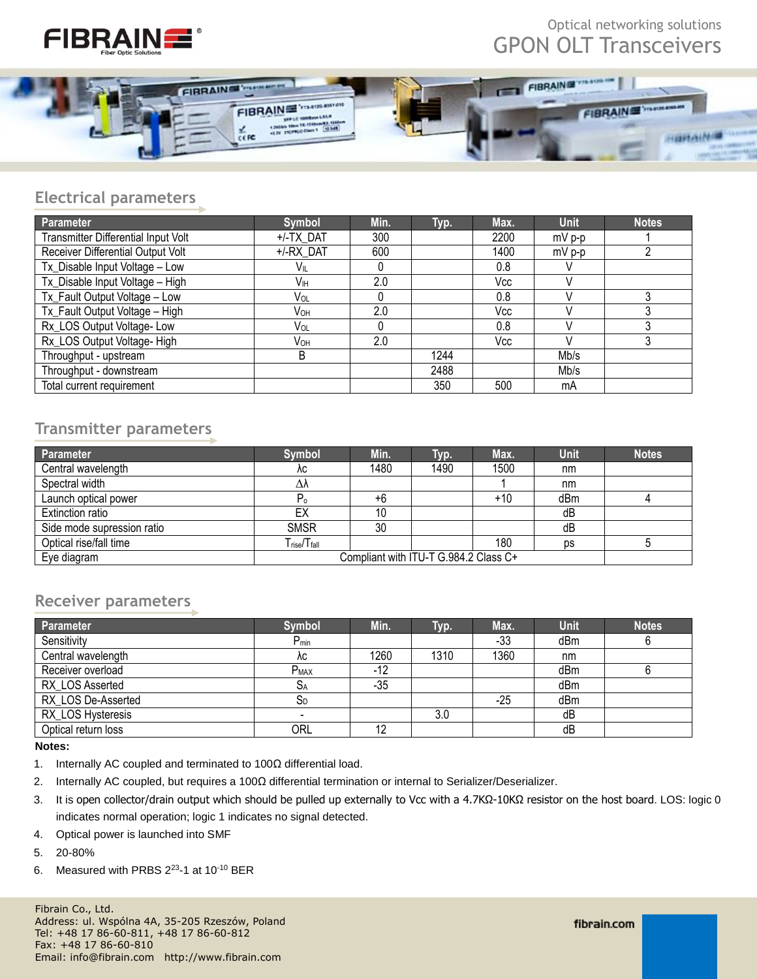



#### **Electrical parameters**

| <b>Parameter</b>                    | Symbol          | Min. | Typ. | Max. | <b>Unit</b> | <b>Notes</b> |
|-------------------------------------|-----------------|------|------|------|-------------|--------------|
| Transmitter Differential Input Volt | +/-TX DAT       | 300  |      | 2200 | $mV$ p-p    |              |
| Receiver Differential Output Volt   | +/-RX DAT       | 600  |      | 1400 | $mV$ p-p    |              |
| Tx_Disable Input Voltage - Low      | Vil             |      |      | 0.8  |             |              |
| Tx_Disable Input Voltage - High     | Vıн             | 2.0  |      | Vcc  |             |              |
| Tx_Fault Output Voltage - Low       | Vol             |      |      | 0.8  |             |              |
| Tx_Fault Output Voltage - High      | Vон             | 2.0  |      | Vcc  |             |              |
| Rx_LOS Output Voltage- Low          | Vol             |      |      | 0.8  |             |              |
| Rx_LOS Output Voltage-High          | V <sub>OH</sub> | 2.0  |      | Vcc  |             |              |
| Throughput - upstream               | B               |      | 1244 |      | Mb/s        |              |
| Throughput - downstream             |                 |      | 2488 |      | Mb/s        |              |
| Total current requirement           |                 |      | 350  | 500  | mA          |              |

### **Transmitter parameters**

| Parameter                  | <b>Symbol</b>                         | Min. | Typ. | Max. | <b>Unit</b> | <b>Notes</b> |
|----------------------------|---------------------------------------|------|------|------|-------------|--------------|
| Central wavelength         | λc                                    | 1480 | 1490 | 1500 | nm          |              |
| Spectral width             | Δλ                                    |      |      |      | nm          |              |
| Launch optical power       | P <sub>o</sub>                        | +6   |      | +10  | dBm         |              |
| Extinction ratio           | EX                                    | 10   |      |      | dB          |              |
| Side mode supression ratio | <b>SMSR</b>                           | 30   |      |      | dB          |              |
| Optical rise/fall time     | T <sub>rise</sub> /T <sub>fall</sub>  |      |      | 180  | <b>DS</b>   |              |
| Eye diagram                | Compliant with ITU-T G.984.2 Class C+ |      |      |      |             |              |

#### **Receiver parameters**

| Parameter           | <b>Symbol</b>            | Min.  | Tур. | Max.  | <b>Unit</b> | <b>Notes</b> |
|---------------------|--------------------------|-------|------|-------|-------------|--------------|
| Sensitivity         | $P_{min}$                |       |      | $-33$ | dBm         |              |
| Central wavelength  | λc                       | 1260  | 1310 | 1360  | nm          |              |
| Receiver overload   | $P_{MAX}$                | -12   |      |       | dBm         |              |
| RX LOS Asserted     | $S_A$                    | $-35$ |      |       | dBm         |              |
| RX LOS De-Asserted  | $S_D$                    |       |      | $-25$ | dBm         |              |
| RX_LOS Hysteresis   | $\overline{\phantom{0}}$ |       | 3.0  |       | dB          |              |
| Optical return loss | <b>ORL</b>               | 12    |      |       | dB          |              |

#### **Notes:**

- 1. Internally AC coupled and terminated to 100Ω differential load.
- 2. Internally AC coupled, but requires a 100Ω differential termination or internal to Serializer/Deserializer.
- 3. It is open collector/drain output which should be pulled up externally to Vcc with a 4.7KΩ-10KΩ resistor on the host board. LOS: logic 0 indicates normal operation; logic 1 indicates no signal detected.
- 4. Optical power is launched into SMF
- 5. 20-80%
- 6. Measured with PRBS  $2^{23}$ -1 at 10<sup>-10</sup> BER

Fibrain Co., Ltd. Address: ul. Wspólna 4A, 35-205 Rzeszów, Poland Tel: +48 17 86-60-811, +48 17 86-60-812 Fax: +48 17 86-60-810 Email: info@fibrain.com http://www.fibrain.com